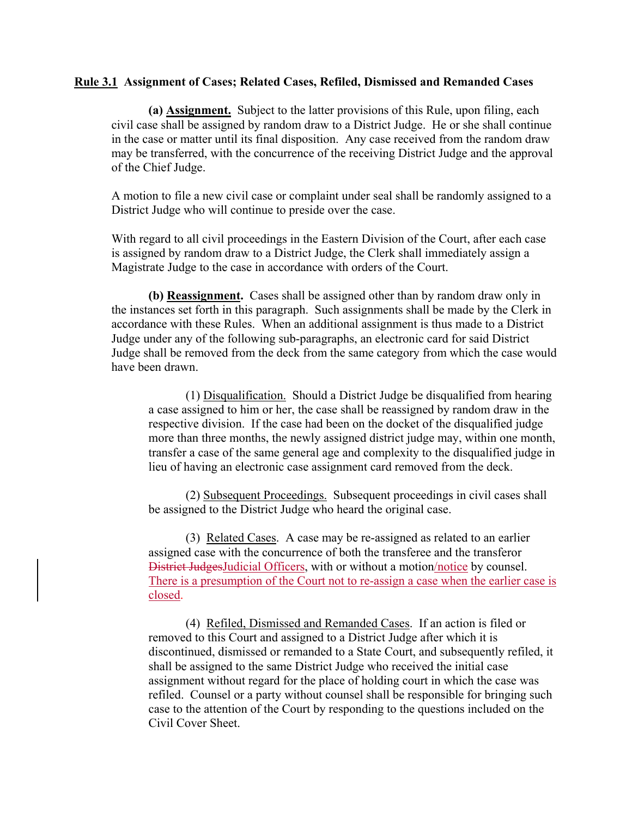## **Rule 3.1 Assignment of Cases; Related Cases, Refiled, Dismissed and Remanded Cases**

**(a) Assignment.** Subject to the latter provisions of this Rule, upon filing, each civil case shall be assigned by random draw to a District Judge. He or she shall continue in the case or matter until its final disposition. Any case received from the random draw may be transferred, with the concurrence of the receiving District Judge and the approval of the Chief Judge.

A motion to file a new civil case or complaint under seal shall be randomly assigned to a District Judge who will continue to preside over the case.

With regard to all civil proceedings in the Eastern Division of the Court, after each case is assigned by random draw to a District Judge, the Clerk shall immediately assign a Magistrate Judge to the case in accordance with orders of the Court.

**(b) Reassignment.** Cases shall be assigned other than by random draw only in the instances set forth in this paragraph. Such assignments shall be made by the Clerk in accordance with these Rules. When an additional assignment is thus made to a District Judge under any of the following sub-paragraphs, an electronic card for said District Judge shall be removed from the deck from the same category from which the case would have been drawn.

 (1) Disqualification. Should a District Judge be disqualified from hearing a case assigned to him or her, the case shall be reassigned by random draw in the respective division. If the case had been on the docket of the disqualified judge more than three months, the newly assigned district judge may, within one month, transfer a case of the same general age and complexity to the disqualified judge in lieu of having an electronic case assignment card removed from the deck.

 (2) Subsequent Proceedings. Subsequent proceedings in civil cases shall be assigned to the District Judge who heard the original case.

 (3) Related Cases. A case may be re-assigned as related to an earlier assigned case with the concurrence of both the transferee and the transferor District JudgesJudicial Officers, with or without a motion/notice by counsel. There is a presumption of the Court not to re-assign a case when the earlier case is closed.

 (4) Refiled, Dismissed and Remanded Cases. If an action is filed or removed to this Court and assigned to a District Judge after which it is discontinued, dismissed or remanded to a State Court, and subsequently refiled, it shall be assigned to the same District Judge who received the initial case assignment without regard for the place of holding court in which the case was refiled. Counsel or a party without counsel shall be responsible for bringing such case to the attention of the Court by responding to the questions included on the Civil Cover Sheet.